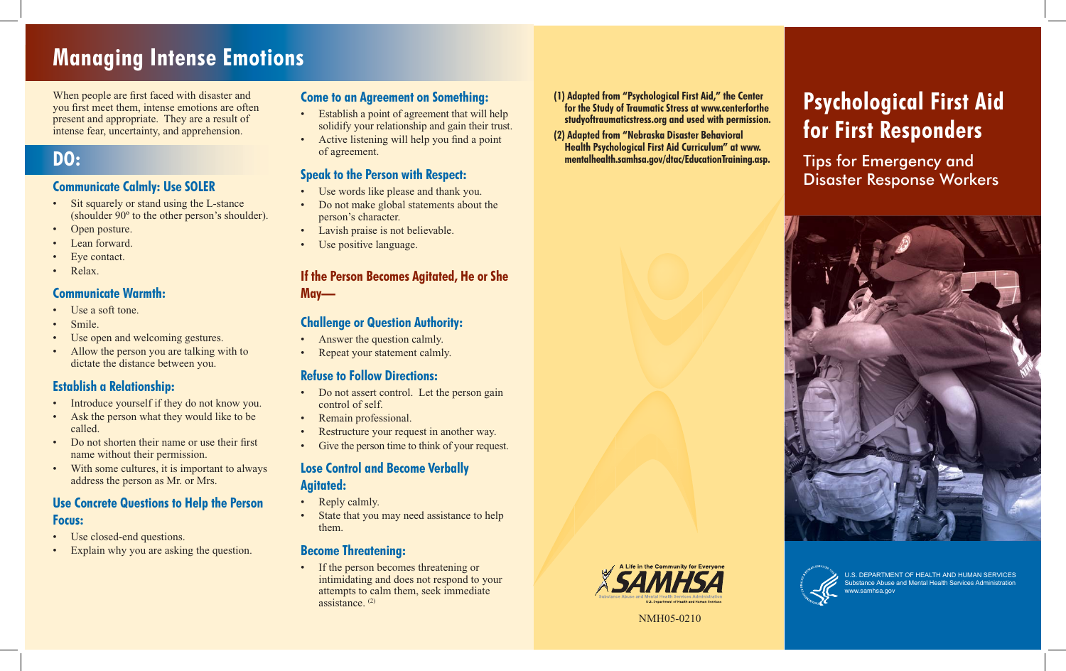# **Managing Intense Emotions**

When people are first faced with disaster and you first meet them, intense emotions are often present and appropriate. They are a result of intense fear, uncertainty, and apprehension.

## **DO:**

### **Communicate Calmly: Use SOLER**

- Sit squarely or stand using the L-stance (shoulder 90º to the other person's shoulder).
- Open posture.
- Lean forward
- Eye contact.
- Relax.

### **Communicate Warmth:**

- Use a soft tone.
- Smile.
- Use open and welcoming gestures.
- Allow the person you are talking with to dictate the distance between you.

### **Establish a Relationship:**

- Introduce yourself if they do not know you.
- Ask the person what they would like to be called.
- Do not shorten their name or use their first name without their permission.
- With some cultures, it is important to always address the person as Mr. or Mrs.

### **Use Concrete Questions to Help the Person Focus:**

- Use closed-end questions.
- Explain why you are asking the question.

### **Come to an Agreement on Something:**

- Establish a point of agreement that will help solidify your relationship and gain their trust.
- Active listening will help you find a point of agreement.

### **Speak to the Person with Respect:**

- Use words like please and thank you.
- Do not make global statements about the person's character.
- Lavish praise is not believable.
- Use positive language.

### **If the Person Becomes Agitated, He or She May—**

### **Challenge or Question Authority:**

- Answer the question calmly.
- Repeat your statement calmly.

### **Refuse to Follow Directions:**

- Do not assert control. Let the person gain control of self.
- Remain professional.
- Restructure your request in another way.
- Give the person time to think of your request.

### **Lose Control and Become Verbally Agitated:**

- Reply calmly.
- State that you may need assistance to help them.

### **Become Threatening:**

• If the person becomes threatening or intimidating and does not respond to your attempts to calm them, seek immediate assistance. (2)

- **(1) Adapted from "Psychological First Aid," the Center for the Study of Traumatic Stress at www.centerforthe studyoftraumaticstress.org and used with permission.**
- **(2) Adapted from "Nebraska Disaster Behavioral Health Psychological First Aid Curriculum" at www. mentalhealth.samhsa.gov/dtac/EducationTraining.asp.**

# **Psychological First Aid for First Responders**

Tips for Emergency and Disaster Response Workers